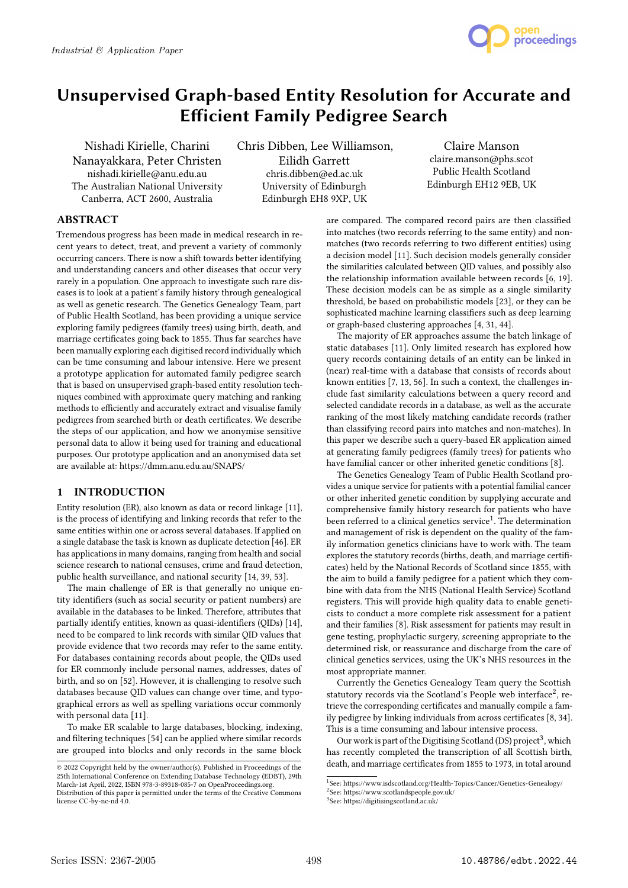

# Unsupervised Graph-based Entity Resolution for Accurate and Efficient Family Pedigree Search

Nishadi Kirielle, Charini Nanayakkara, Peter Christen nishadi.kirielle@anu.edu.au The Australian National University Canberra, ACT 2600, Australia

Chris Dibben, Lee Williamson, Eilidh Garrett chris.dibben@ed.ac.uk University of Edinburgh Edinburgh EH8 9XP, UK

Claire Manson claire.manson@phs.scot Public Health Scotland Edinburgh EH12 9EB, UK

# ABSTRACT

Tremendous progress has been made in medical research in recent years to detect, treat, and prevent a variety of commonly occurring cancers. There is now a shift towards better identifying and understanding cancers and other diseases that occur very rarely in a population. One approach to investigate such rare diseases is to look at a patient's family history through genealogical as well as genetic research. The Genetics Genealogy Team, part of Public Health Scotland, has been providing a unique service exploring family pedigrees (family trees) using birth, death, and marriage certificates going back to 1855. Thus far searches have been manually exploring each digitised record individually which can be time consuming and labour intensive. Here we present a prototype application for automated family pedigree search that is based on unsupervised graph-based entity resolution techniques combined with approximate query matching and ranking methods to efficiently and accurately extract and visualise family pedigrees from searched birth or death certificates. We describe the steps of our application, and how we anonymise sensitive personal data to allow it being used for training and educational purposes. Our prototype application and an anonymised data set are available at: https://dmm.anu.edu.au/SNAPS/

# 1 INTRODUCTION

Entity resolution (ER), also known as data or record linkage [11], is the process of identifying and linking records that refer to the same entities within one or across several databases. If applied on a single database the task is known as duplicate detection [46]. ER has applications in many domains, ranging from health and social science research to national censuses, crime and fraud detection, public health surveillance, and national security [14, 39, 53].

The main challenge of ER is that generally no unique entity identifiers (such as social security or patient numbers) are available in the databases to be linked. Therefore, attributes that partially identify entities, known as quasi-identifiers (QIDs) [14], need to be compared to link records with similar QID values that provide evidence that two records may refer to the same entity. For databases containing records about people, the QIDs used for ER commonly include personal names, addresses, dates of birth, and so on [52]. However, it is challenging to resolve such databases because QID values can change over time, and typographical errors as well as spelling variations occur commonly with personal data [11].

To make ER scalable to large databases, blocking, indexing, and filtering techniques [54] can be applied where similar records are grouped into blocks and only records in the same block

are compared. The compared record pairs are then classified into matches (two records referring to the same entity) and nonmatches (two records referring to two different entities) using a decision model [11]. Such decision models generally consider the similarities calculated between QID values, and possibly also the relationship information available between records [6, 19]. These decision models can be as simple as a single similarity threshold, be based on probabilistic models [23], or they can be sophisticated machine learning classifiers such as deep learning or graph-based clustering approaches [4, 31, 44].

The majority of ER approaches assume the batch linkage of static databases [11]. Only limited research has explored how query records containing details of an entity can be linked in (near) real-time with a database that consists of records about known entities [7, 13, 56]. In such a context, the challenges include fast similarity calculations between a query record and selected candidate records in a database, as well as the accurate ranking of the most likely matching candidate records (rather than classifying record pairs into matches and non-matches). In this paper we describe such a query-based ER application aimed at generating family pedigrees (family trees) for patients who have familial cancer or other inherited genetic conditions [8].

The Genetics Genealogy Team of Public Health Scotland provides a unique service for patients with a potential familial cancer or other inherited genetic condition by supplying accurate and comprehensive family history research for patients who have been referred to a clinical genetics service<sup>1</sup>. The determination and management of risk is dependent on the quality of the family information genetics clinicians have to work with. The team explores the statutory records (births, death, and marriage certificates) held by the National Records of Scotland since 1855, with the aim to build a family pedigree for a patient which they combine with data from the NHS (National Health Service) Scotland registers. This will provide high quality data to enable geneticists to conduct a more complete risk assessment for a patient and their families [8]. Risk assessment for patients may result in gene testing, prophylactic surgery, screening appropriate to the determined risk, or reassurance and discharge from the care of clinical genetics services, using the UK's NHS resources in the most appropriate manner.

Currently the Genetics Genealogy Team query the Scottish statutory records via the Scotland's People web interface<sup>2</sup>, retrieve the corresponding certificates and manually compile a family pedigree by linking individuals from across certificates [8, 34]. This is a time consuming and labour intensive process.

Our work is part of the Digitising Scotland (DS) project<sup>3</sup>, which has recently completed the transcription of all Scottish birth, death, and marriage certificates from 1855 to 1973, in total around

<sup>©</sup> 2022 Copyright held by the owner/author(s). Published in Proceedings of the 25th International Conference on Extending Database Technology (EDBT), 29th March-1st April, 2022, ISBN 978-3-89318-085-7 on OpenProceedings.org.

Distribution of this paper is permitted under the terms of the Creative Commons license CC-by-nc-nd 4.0.

<sup>1</sup> See: https://www.isdscotland.org/Health-Topics/Cancer/Genetics-Genealogy/

<sup>2</sup> See: https://www.scotlandspeople.gov.uk/

<sup>3</sup> See: https://digitisingscotland.ac.uk/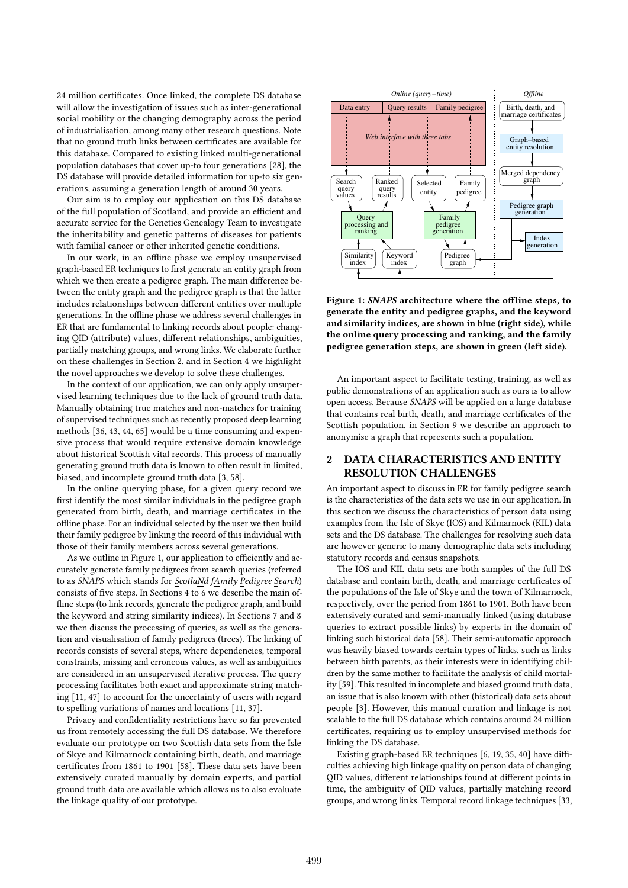24 million certificates. Once linked, the complete DS database will allow the investigation of issues such as inter-generational social mobility or the changing demography across the period of industrialisation, among many other research questions. Note that no ground truth links between certificates are available for this database. Compared to existing linked multi-generational population databases that cover up-to four generations [28], the DS database will provide detailed information for up-to six generations, assuming a generation length of around 30 years.

Our aim is to employ our application on this DS database of the full population of Scotland, and provide an efficient and accurate service for the Genetics Genealogy Team to investigate the inheritability and genetic patterns of diseases for patients with familial cancer or other inherited genetic conditions.

In our work, in an offline phase we employ unsupervised graph-based ER techniques to first generate an entity graph from which we then create a pedigree graph. The main difference between the entity graph and the pedigree graph is that the latter includes relationships between different entities over multiple generations. In the offline phase we address several challenges in ER that are fundamental to linking records about people: changing QID (attribute) values, different relationships, ambiguities, partially matching groups, and wrong links. We elaborate further on these challenges in Section 2, and in Section 4 we highlight the novel approaches we develop to solve these challenges.

In the context of our application, we can only apply unsupervised learning techniques due to the lack of ground truth data. Manually obtaining true matches and non-matches for training of supervised techniques such as recently proposed deep learning methods [36, 43, 44, 65] would be a time consuming and expensive process that would require extensive domain knowledge about historical Scottish vital records. This process of manually generating ground truth data is known to often result in limited, biased, and incomplete ground truth data [3, 58].

In the online querying phase, for a given query record we first identify the most similar individuals in the pedigree graph generated from birth, death, and marriage certificates in the offline phase. For an individual selected by the user we then build their family pedigree by linking the record of this individual with those of their family members across several generations.

As we outline in Figure 1, our application to efficiently and accurately generate family pedigrees from search queries (referred to as SNAPS which stands for ScotlaNd fAmily Pedigree Search) consists of five steps. In Sections 4 to 6 we describe the main offline steps (to link records, generate the pedigree graph, and build the keyword and string similarity indices). In Sections 7 and 8 we then discuss the processing of queries, as well as the generation and visualisation of family pedigrees (trees). The linking of records consists of several steps, where dependencies, temporal constraints, missing and erroneous values, as well as ambiguities are considered in an unsupervised iterative process. The query processing facilitates both exact and approximate string matching [11, 47] to account for the uncertainty of users with regard to spelling variations of names and locations [11, 37].

Privacy and confidentiality restrictions have so far prevented us from remotely accessing the full DS database. We therefore evaluate our prototype on two Scottish data sets from the Isle of Skye and Kilmarnock containing birth, death, and marriage certificates from 1861 to 1901 [58]. These data sets have been extensively curated manually by domain experts, and partial ground truth data are available which allows us to also evaluate the linkage quality of our prototype.



Figure 1: SNAPS architecture where the offline steps, to generate the entity and pedigree graphs, and the keyword and similarity indices, are shown in blue (right side), while the online query processing and ranking, and the family pedigree generation steps, are shown in green (left side).

An important aspect to facilitate testing, training, as well as public demonstrations of an application such as ours is to allow open access. Because SNAPS will be applied on a large database that contains real birth, death, and marriage certificates of the Scottish population, in Section 9 we describe an approach to anonymise a graph that represents such a population.

# 2 DATA CHARACTERISTICS AND ENTITY RESOLUTION CHALLENGES

An important aspect to discuss in ER for family pedigree search is the characteristics of the data sets we use in our application. In this section we discuss the characteristics of person data using examples from the Isle of Skye (IOS) and Kilmarnock (KIL) data sets and the DS database. The challenges for resolving such data are however generic to many demographic data sets including statutory records and census snapshots.

The IOS and KIL data sets are both samples of the full DS database and contain birth, death, and marriage certificates of the populations of the Isle of Skye and the town of Kilmarnock, respectively, over the period from 1861 to 1901. Both have been extensively curated and semi-manually linked (using database queries to extract possible links) by experts in the domain of linking such historical data [58]. Their semi-automatic approach was heavily biased towards certain types of links, such as links between birth parents, as their interests were in identifying children by the same mother to facilitate the analysis of child mortality [59]. This resulted in incomplete and biased ground truth data, an issue that is also known with other (historical) data sets about people [3]. However, this manual curation and linkage is not scalable to the full DS database which contains around 24 million certificates, requiring us to employ unsupervised methods for linking the DS database.

Existing graph-based ER techniques [6, 19, 35, 40] have difficulties achieving high linkage quality on person data of changing QID values, different relationships found at different points in time, the ambiguity of QID values, partially matching record groups, and wrong links. Temporal record linkage techniques [33,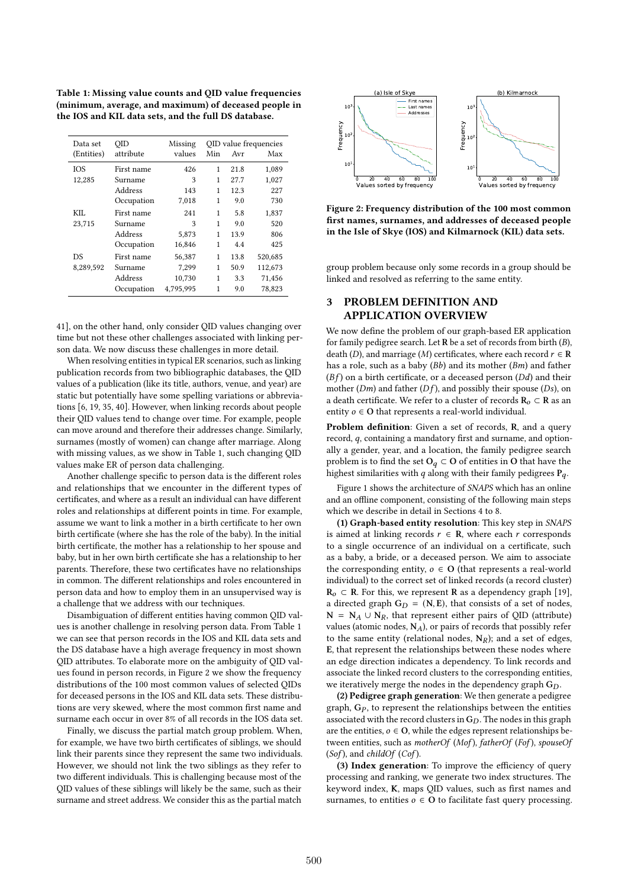Table 1: Missing value counts and QID value frequencies (minimum, average, and maximum) of deceased people in the IOS and KIL data sets, and the full DS database.

| Data set   | OID        | Missing   |     |      | QID value frequencies |
|------------|------------|-----------|-----|------|-----------------------|
| (Entities) | attribute  | values    | Min | Avr  | Max                   |
| <b>TOS</b> | First name | 426       | 1   | 21.8 | 1,089                 |
| 12,285     | Surname    | 3         | 1   | 27.7 | 1,027                 |
|            | Address    | 143       | 1   | 12.3 | 227                   |
|            | Occupation | 7,018     | 1   | 9.0  | 730                   |
| KIL.       | First name | 241       | 1   | 5.8  | 1,837                 |
| 23,715     | Surname    | 3         | 1   | 9.0  | 520                   |
|            | Address    | 5.873     | 1   | 13.9 | 806                   |
|            | Occupation | 16,846    | 1   | 4.4  | 425                   |
| <b>DS</b>  | First name | 56,387    | 1   | 13.8 | 520,685               |
| 8,289,592  | Surname    | 7.299     | 1   | 50.9 | 112,673               |
|            | Address    | 10,730    | 1   | 3.3  | 71,456                |
|            | Occupation | 4.795.995 | 1   | 9.0  | 78,823                |

41], on the other hand, only consider QID values changing over time but not these other challenges associated with linking person data. We now discuss these challenges in more detail.

When resolving entities in typical ER scenarios, such as linking publication records from two bibliographic databases, the QID values of a publication (like its title, authors, venue, and year) are static but potentially have some spelling variations or abbreviations [6, 19, 35, 40]. However, when linking records about people their QID values tend to change over time. For example, people can move around and therefore their addresses change. Similarly, surnames (mostly of women) can change after marriage. Along with missing values, as we show in Table 1, such changing QID values make ER of person data challenging.

Another challenge specific to person data is the different roles and relationships that we encounter in the different types of certificates, and where as a result an individual can have different roles and relationships at different points in time. For example, assume we want to link a mother in a birth certificate to her own birth certificate (where she has the role of the baby). In the initial birth certificate, the mother has a relationship to her spouse and baby, but in her own birth certificate she has a relationship to her parents. Therefore, these two certificates have no relationships in common. The different relationships and roles encountered in person data and how to employ them in an unsupervised way is a challenge that we address with our techniques.

Disambiguation of different entities having common QID values is another challenge in resolving person data. From Table 1 we can see that person records in the IOS and KIL data sets and the DS database have a high average frequency in most shown QID attributes. To elaborate more on the ambiguity of QID values found in person records, in Figure 2 we show the frequency distributions of the 100 most common values of selected QIDs for deceased persons in the IOS and KIL data sets. These distributions are very skewed, where the most common first name and surname each occur in over 8% of all records in the IOS data set.

Finally, we discuss the partial match group problem. When, for example, we have two birth certificates of siblings, we should link their parents since they represent the same two individuals. However, we should not link the two siblings as they refer to two different individuals. This is challenging because most of the QID values of these siblings will likely be the same, such as their surname and street address. We consider this as the partial match



Figure 2: Frequency distribution of the 100 most common first names, surnames, and addresses of deceased people in the Isle of Skye (IOS) and Kilmarnock (KIL) data sets.

group problem because only some records in a group should be linked and resolved as referring to the same entity.

# 3 PROBLEM DEFINITION AND APPLICATION OVERVIEW

We now define the problem of our graph-based ER application for family pedigree search. Let  $R$  be a set of records from birth  $(B)$ , death (D), and marriage (M) certificates, where each record  $r \in \mathbb{R}$ has a role, such as a baby  $(Bb)$  and its mother  $(Bm)$  and father  $(Bf)$  on a birth certificate, or a deceased person  $(Dd)$  and their mother  $(Dm)$  and father  $(Df)$ , and possibly their spouse  $(Ds)$ , on a death certificate. We refer to a cluster of records  $R_0 \subset R$  as an entity  $o \in \mathbb{O}$  that represents a real-world individual.

Problem definition: Given a set of records, R, and a query record,  $q$ , containing a mandatory first and surname, and optionally a gender, year, and a location, the family pedigree search problem is to find the set  $O_q \subset O$  of entities in O that have the highest similarities with q along with their family pedigrees  $P<sub>a</sub>$ .

Figure 1 shows the architecture of SNAPS which has an online and an offline component, consisting of the following main steps which we describe in detail in Sections 4 to 8.

(1) Graph-based entity resolution: This key step in SNAPS is aimed at linking records  $r \in \mathbb{R}$ , where each  $r$  corresponds to a single occurrence of an individual on a certificate, such as a baby, a bride, or a deceased person. We aim to associate the corresponding entity,  $o \in O$  (that represents a real-world individual) to the correct set of linked records (a record cluster)  $R_0 \subset R$ . For this, we represent R as a dependency graph [19], a directed graph  $G_D = (N, E)$ , that consists of a set of nodes,  $N = N_A \cup N_R$ , that represent either pairs of QID (attribute) values (atomic nodes,  $N_A$ ), or pairs of records that possibly refer to the same entity (relational nodes,  $N_R$ ); and a set of edges, E, that represent the relationships between these nodes where an edge direction indicates a dependency. To link records and associate the linked record clusters to the corresponding entities, we iteratively merge the nodes in the dependency graph  $G_D$ .

(2) Pedigree graph generation: We then generate a pedigree graph,  $G_P$ , to represent the relationships between the entities associated with the record clusters in  $G_D$ . The nodes in this graph are the entities,  $o \in \mathbf{O}$ , while the edges represent relationships between entities, such as motherOf (Mof), fatherOf (Fof), spouseOf (Sof), and childOf (Cof).

(3) Index generation: To improve the efficiency of query processing and ranking, we generate two index structures. The keyword index, K, maps QID values, such as first names and surnames, to entities  $o \in \mathbf{O}$  to facilitate fast query processing.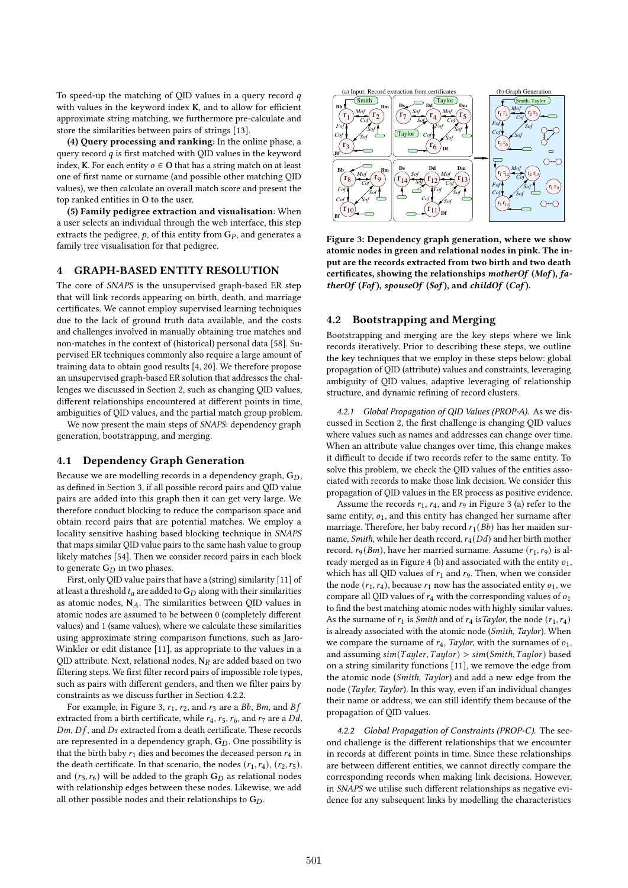To speed-up the matching of QID values in a query record  $q$ with values in the keyword index  $K$ , and to allow for efficient approximate string matching, we furthermore pre-calculate and store the similarities between pairs of strings [13].

(4) Query processing and ranking: In the online phase, a query record  $q$  is first matched with QID values in the keyword index, K. For each entity  $o \in \mathbf{O}$  that has a string match on at least one of first name or surname (and possible other matching QID values), we then calculate an overall match score and present the top ranked entities in O to the user.

(5) Family pedigree extraction and visualisation: When a user selects an individual through the web interface, this step extracts the pedigree,  $p$ , of this entity from  $G_p$ , and generates a family tree visualisation for that pedigree.

# 4 GRAPH-BASED ENTITY RESOLUTION

The core of SNAPS is the unsupervised graph-based ER step that will link records appearing on birth, death, and marriage certificates. We cannot employ supervised learning techniques due to the lack of ground truth data available, and the costs and challenges involved in manually obtaining true matches and non-matches in the context of (historical) personal data [58]. Supervised ER techniques commonly also require a large amount of training data to obtain good results [4, 20]. We therefore propose an unsupervised graph-based ER solution that addresses the challenges we discussed in Section 2, such as changing QID values, different relationships encountered at different points in time, ambiguities of QID values, and the partial match group problem.

We now present the main steps of SNAPS: dependency graph generation, bootstrapping, and merging.

## 4.1 Dependency Graph Generation

Because we are modelling records in a dependency graph,  $G_D$ , as defined in Section 3, if all possible record pairs and QID value pairs are added into this graph then it can get very large. We therefore conduct blocking to reduce the comparison space and obtain record pairs that are potential matches. We employ a locality sensitive hashing based blocking technique in SNAPS that maps similar QID value pairs to the same hash value to group likely matches [54]. Then we consider record pairs in each block to generate  $G_D$  in two phases.

First, only QID value pairs that have a (string) similarity [11] of at least a threshold  $t_a$  are added to  $G_D$  along with their similarities as atomic nodes,  $N_A$ . The similarities between QID values in atomic nodes are assumed to be between 0 (completely different values) and 1 (same values), where we calculate these similarities using approximate string comparison functions, such as Jaro-Winkler or edit distance [11], as appropriate to the values in a QID attribute. Next, relational nodes,  $N_R$  are added based on two filtering steps. We first filter record pairs of impossible role types, such as pairs with different genders, and then we filter pairs by constraints as we discuss further in Section 4.2.2.

For example, in Figure 3,  $r_1$ ,  $r_2$ , and  $r_3$  are a Bb, Bm, and Bf extracted from a birth certificate, while  $r_4$ ,  $r_5$ ,  $r_6$ , and  $r_7$  are a  $Dd$ ,  $Dm$ ,  $Df$ , and  $Ds$  extracted from a death certificate. These records are represented in a dependency graph,  $G_D$ . One possibility is that the birth baby  $r_1$  dies and becomes the deceased person  $r_4$  in the death certificate. In that scenario, the nodes  $(r_1, r_4)$ ,  $(r_2, r_5)$ , and  $(r_3, r_6)$  will be added to the graph  $G_D$  as relational nodes with relationship edges between these nodes. Likewise, we add all other possible nodes and their relationships to  $G_D$ .



Figure 3: Dependency graph generation, where we show atomic nodes in green and relational nodes in pink. The input are the records extracted from two birth and two death certificates, showing the relationships motherOf (Mof),  $fa$ therOf (Fof), spouseOf (Sof), and childOf (Cof).

#### 4.2 Bootstrapping and Merging

Bootstrapping and merging are the key steps where we link records iteratively. Prior to describing these steps, we outline the key techniques that we employ in these steps below: global propagation of QID (attribute) values and constraints, leveraging ambiguity of QID values, adaptive leveraging of relationship structure, and dynamic refining of record clusters.

4.2.1 Global Propagation of QID Values (PROP-A). As we discussed in Section 2, the first challenge is changing QID values where values such as names and addresses can change over time. When an attribute value changes over time, this change makes it difficult to decide if two records refer to the same entity. To solve this problem, we check the QID values of the entities associated with records to make those link decision. We consider this propagation of QID values in the ER process as positive evidence.

Assume the records  $r_1$ ,  $r_4$ , and  $r_9$  in Figure 3 (a) refer to the same entity,  $o_1$ , and this entity has changed her surname after marriage. Therefore, her baby record  $r_1(Bb)$  has her maiden surname, *Smith*, while her death record,  $r_4(Dd)$  and her birth mother record,  $r_9(Bm)$ , have her married surname. Assume  $(r_1, r_9)$  is already merged as in Figure 4 (b) and associated with the entity  $o<sub>1</sub>$ , which has all QID values of  $r_1$  and  $r_9$ . Then, when we consider the node  $(r_1, r_4)$ , because  $r_1$  now has the associated entity  $o_1$ , we compare all QID values of  $r_4$  with the corresponding values of  $o_1$ to find the best matching atomic nodes with highly similar values. As the surname of  $r_1$  is *Smith* and of  $r_4$  is *Taylor*, the node  $(r_1, r_4)$ is already associated with the atomic node (Smith, Taylor). When we compare the surname of  $r_4$ , Taylor, with the surnames of  $o_1$ , and assuming  $\text{sim}(T\text{auler}, T\text{aulor}) > \text{sim}(Smith, T\text{aulor})$  based on a string similarity functions [11], we remove the edge from the atomic node (Smith, Taylor) and add a new edge from the node (Tayler, Taylor). In this way, even if an individual changes their name or address, we can still identify them because of the propagation of QID values.

4.2.2 Global Propagation of Constraints (PROP-C). The second challenge is the different relationships that we encounter in records at different points in time. Since these relationships are between different entities, we cannot directly compare the corresponding records when making link decisions. However, in SNAPS we utilise such different relationships as negative evidence for any subsequent links by modelling the characteristics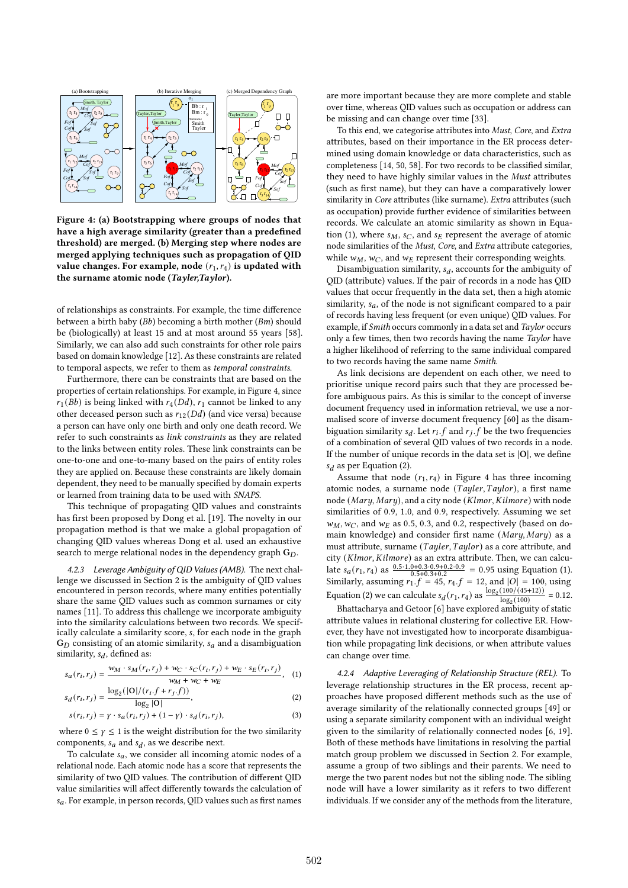

Figure 4: (a) Bootstrapping where groups of nodes that have a high average similarity (greater than a predefined threshold) are merged. (b) Merging step where nodes are merged applying techniques such as propagation of QID value changes. For example, node  $(r_1, r_4)$  is updated with the surname atomic node (Tayler,Taylor).

of relationships as constraints. For example, the time difference between a birth baby  $(Bb)$  becoming a birth mother  $(Bm)$  should be (biologically) at least 15 and at most around 55 years [58]. Similarly, we can also add such constraints for other role pairs based on domain knowledge [12]. As these constraints are related to temporal aspects, we refer to them as temporal constraints.

Furthermore, there can be constraints that are based on the properties of certain relationships. For example, in Figure 4, since  $r_1$ (Bb) is being linked with  $r_4$ (Dd),  $r_1$  cannot be linked to any other deceased person such as  $r_{12}(Dd)$  (and vice versa) because a person can have only one birth and only one death record. We refer to such constraints as link constraints as they are related to the links between entity roles. These link constraints can be one-to-one and one-to-many based on the pairs of entity roles they are applied on. Because these constraints are likely domain dependent, they need to be manually specified by domain experts or learned from training data to be used with SNAPS.

This technique of propagating QID values and constraints has first been proposed by Dong et al. [19]. The novelty in our propagation method is that we make a global propagation of changing QID values whereas Dong et al. used an exhaustive search to merge relational nodes in the dependency graph  $G_D$ .

4.2.3 Leverage Ambiguity of QID Values (AMB). The next challenge we discussed in Section 2 is the ambiguity of QID values encountered in person records, where many entities potentially share the same QID values such as common surnames or city names [11]. To address this challenge we incorporate ambiguity into the similarity calculations between two records. We specifically calculate a similarity score, s, for each node in the graph  $G_D$  consisting of an atomic similarity,  $s_a$  and a disambiguation similarity,  $s_d$ , defined as:

$$
s_a(r_i, r_j) = \frac{w_M \cdot s_M(r_i, r_j) + w_C \cdot s_C(r_i, r_j) + w_E \cdot s_E(r_i, r_j)}{w_M + w_C + w_E}, \quad (1)
$$

$$
s_d(r_i, r_j) = \frac{\log_2(|\mathbf{O}|/(r_i \cdot f + r_j \cdot f))}{\log_2 |\mathbf{O}|},\tag{2}
$$

$$
s(r_i, r_j) = \gamma \cdot s_a(r_i, r_j) + (1 - \gamma) \cdot s_d(r_i, r_j), \tag{3}
$$

where  $0 \le \gamma \le 1$  is the weight distribution for the two similarity components,  $s_a$  and  $s_d$ , as we describe next.

To calculate  $s_a$ , we consider all incoming atomic nodes of a relational node. Each atomic node has a score that represents the similarity of two QID values. The contribution of different QID value similarities will affect differently towards the calculation of  $s_a$ . For example, in person records, QID values such as first names

are more important because they are more complete and stable over time, whereas QID values such as occupation or address can be missing and can change over time [33].

To this end, we categorise attributes into Must, Core, and Extra attributes, based on their importance in the ER process determined using domain knowledge or data characteristics, such as completeness [14, 50, 58]. For two records to be classified similar, they need to have highly similar values in the Must attributes (such as first name), but they can have a comparatively lower similarity in Core attributes (like surname). Extra attributes (such as occupation) provide further evidence of similarities between records. We calculate an atomic similarity as shown in Equation (1), where  $s_M$ ,  $s_C$ , and  $s_E$  represent the average of atomic node similarities of the Must, Core, and Extra attribute categories, while  $w_M$ ,  $w_C$ , and  $w_E$  represent their corresponding weights.

Disambiguation similarity,  $s_d$ , accounts for the ambiguity of QID (attribute) values. If the pair of records in a node has QID values that occur frequently in the data set, then a high atomic similarity,  $s_a$ , of the node is not significant compared to a pair of records having less frequent (or even unique) QID values. For example, if Smith occurs commonly in a data set and Taylor occurs only a few times, then two records having the name Taylor have a higher likelihood of referring to the same individual compared to two records having the same name Smith.

As link decisions are dependent on each other, we need to prioritise unique record pairs such that they are processed before ambiguous pairs. As this is similar to the concept of inverse document frequency used in information retrieval, we use a normalised score of inverse document frequency [60] as the disambiguation similarity  $s_d$ . Let  $r_i$ . f and  $r_j$ . f be the two frequencies of a combination of several QID values of two records in a node. If the number of unique records in the data set is  $|O|$ , we define  $s_d$  as per Equation (2).

Assume that node  $(r_1, r_4)$  in Figure 4 has three incoming atomic nodes, a surname node  $(Taylor, Taylor)$ , a first name node ( $Mary, Mary$ ), and a city node ( $Klmor, Kilmore$ ) with node similarities of 0.9, 1.0, and 0.9, respectively. Assuming we set  $w_M$ ,  $w_C$ , and  $w_E$  as 0.5, 0.3, and 0.2, respectively (based on domain knowledge) and consider first name  $(Mary, Mary)$  as a must attribute, surname  $(Taylor, Taylor)$  as a core attribute, and city ( $Klmor, Kilmore$ ) as an extra attribute. Then, we can calculate  $s_a(r_1, r_4)$  as  $\frac{0.5 \cdot 1.0 + 0.3 \cdot 0.9 + 0.2 \cdot 0.9}{0.5 + 0.3 + 0.2} = 0.95$  using Equation (1). Similarly, assuming  $r_1 \cdot f = 45$ ,  $r_4 \cdot f = 12$ , and  $|O| = 100$ , using Equation (2) we can calculate  $s_d(r_1, r_4)$  as  $\frac{\log_2(100/(45+12))}{\log_2(100)}$  $\frac{\log_2(100)}{\log_2(100)} = 0.12.$ 

Bhattacharya and Getoor [6] have explored ambiguity of static attribute values in relational clustering for collective ER. However, they have not investigated how to incorporate disambiguation while propagating link decisions, or when attribute values can change over time.

4.2.4 Adaptive Leveraging of Relationship Structure (REL). To leverage relationship structures in the ER process, recent approaches have proposed different methods such as the use of average similarity of the relationally connected groups [49] or using a separate similarity component with an individual weight given to the similarity of relationally connected nodes [6, 19]. Both of these methods have limitations in resolving the partial match group problem we discussed in Section 2. For example, assume a group of two siblings and their parents. We need to merge the two parent nodes but not the sibling node. The sibling node will have a lower similarity as it refers to two different individuals. If we consider any of the methods from the literature,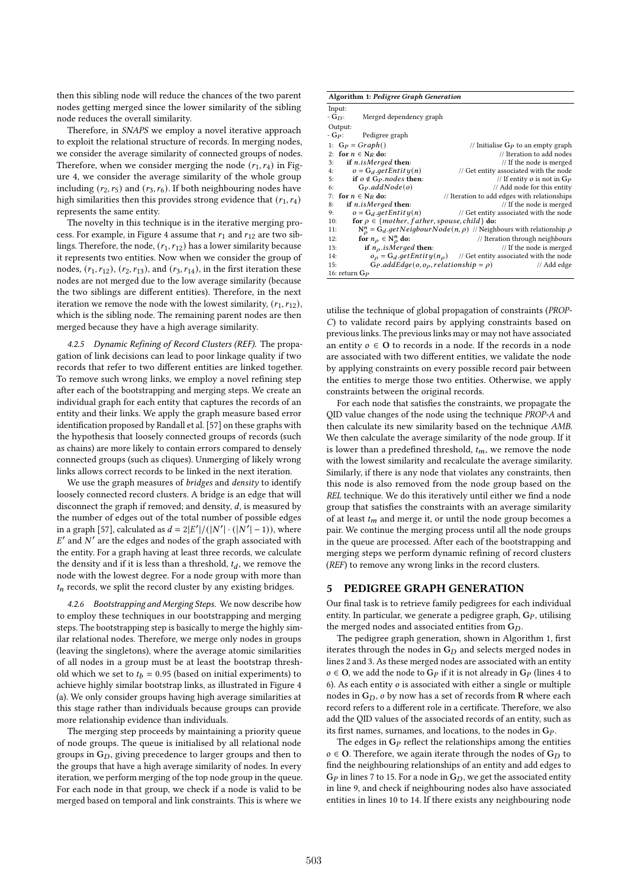then this sibling node will reduce the chances of the two parent nodes getting merged since the lower similarity of the sibling node reduces the overall similarity.

Therefore, in SNAPS we employ a novel iterative approach to exploit the relational structure of records. In merging nodes, we consider the average similarity of connected groups of nodes. Therefore, when we consider merging the node  $(r_1, r_4)$  in Figure 4, we consider the average similarity of the whole group including  $(r_2, r_5)$  and  $(r_3, r_6)$ . If both neighbouring nodes have high similarities then this provides strong evidence that  $(r_1, r_4)$ represents the same entity.

The novelty in this technique is in the iterative merging process. For example, in Figure 4 assume that  $r_1$  and  $r_{12}$  are two siblings. Therefore, the node,  $(r_1, r_{12})$  has a lower similarity because it represents two entities. Now when we consider the group of nodes,  $(r_1, r_{12})$ ,  $(r_2, r_{13})$ , and  $(r_3, r_{14})$ , in the first iteration these nodes are not merged due to the low average similarity (because the two siblings are different entities). Therefore, in the next iteration we remove the node with the lowest similarity,  $(r_1, r_{12})$ , which is the sibling node. The remaining parent nodes are then merged because they have a high average similarity.

4.2.5 Dynamic Refining of Record Clusters (REF). The propagation of link decisions can lead to poor linkage quality if two records that refer to two different entities are linked together. To remove such wrong links, we employ a novel refining step after each of the bootstrapping and merging steps. We create an individual graph for each entity that captures the records of an entity and their links. We apply the graph measure based error identification proposed by Randall et al. [57] on these graphs with the hypothesis that loosely connected groups of records (such as chains) are more likely to contain errors compared to densely connected groups (such as cliques). Unmerging of likely wrong links allows correct records to be linked in the next iteration.

We use the graph measures of *bridges* and *density* to identify loosely connected record clusters. A bridge is an edge that will disconnect the graph if removed; and density,  $d$ , is measured by the number of edges out of the total number of possible edges in a graph [57], calculated as  $d = 2|E'|/(|N'| \cdot (|N'|-1))$ , where  $E'$  and  $N'$  are the edges and nodes of the graph associated with the entity. For a graph having at least three records, we calculate the density and if it is less than a threshold,  $t_d$ , we remove the node with the lowest degree. For a node group with more than  $t_n$  records, we split the record cluster by any existing bridges.

4.2.6 Bootstrapping and Merging Steps. We now describe how to employ these techniques in our bootstrapping and merging steps. The bootstrapping step is basically to merge the highly similar relational nodes. Therefore, we merge only nodes in groups (leaving the singletons), where the average atomic similarities of all nodes in a group must be at least the bootstrap threshold which we set to  $t_b = 0.95$  (based on initial experiments) to achieve highly similar bootstrap links, as illustrated in Figure 4 (a). We only consider groups having high average similarities at this stage rather than individuals because groups can provide more relationship evidence than individuals.

The merging step proceeds by maintaining a priority queue of node groups. The queue is initialised by all relational node groups in  $G_D$ , giving precedence to larger groups and then to the groups that have a high average similarity of nodes. In every iteration, we perform merging of the top node group in the queue. For each node in that group, we check if a node is valid to be merged based on temporal and link constraints. This is where we

| Algorithm 1: Pedigree Graph Generation                      |                                                                                        |
|-------------------------------------------------------------|----------------------------------------------------------------------------------------|
| Input:                                                      |                                                                                        |
| Merged dependency graph<br>$-G_{D}$ :                       |                                                                                        |
| Output:                                                     |                                                                                        |
| $-G_P:$ Pedigree graph                                      |                                                                                        |
| 1: $G_P = Graph()$                                          | // Initialise $G_P$ to an empty graph                                                  |
| 2: for $n \in N_R$ do:                                      | // Iteration to add nodes                                                              |
| if $n.isMerge$ then:<br>3:                                  | // If the node is merged                                                               |
| 4: $o = G_d.getEntity(n)$                                   | // Get entity associated with the node                                                 |
| 5: if $o \notin G_P$ , nodes then:                          | // If entity $o$ is not in $G_P$                                                       |
| $G_P.addNode(o)$<br>6:                                      | // Add node for this entity                                                            |
| for $n \in N_R$ do:<br>7:                                   | // Iteration to add edges with relationships                                           |
| if $n.isMerged$ then:<br>8:                                 | // If the node is merged                                                               |
| $o = G_d.getEntity(n)$<br>9:                                | // Get entity associated with the node                                                 |
| for $\rho \in \{mother, father, spouse, child\}$ do:<br>10: |                                                                                        |
| 11:                                                         | $N_{\rho}^{n} = G_{d}.getNeigbourNode(n, \rho)$ // Neighbours with relationship $\rho$ |
| 12:<br>for $n_{\rho} \in N_{\rho}^n$ do:                    | // Iteration through neighbours                                                        |
| if $n_{\rho}$ is Merged then:<br>13:                        | // If the node is merged                                                               |
| 14:                                                         | $o_{\rho} = G_d.getEntity(n_{\rho})$ // Get entity associated with the node            |
| $G_P.addEdge(o, o_o, relationship = \rho)$<br>15:           | // Add edge                                                                            |
| 16: return $G_P$                                            |                                                                                        |

utilise the technique of global propagation of constraints (PROP-C) to validate record pairs by applying constraints based on previous links. The previous links may or may not have associated an entity  $o \in \mathbf{O}$  to records in a node. If the records in a node are associated with two different entities, we validate the node by applying constraints on every possible record pair between the entities to merge those two entities. Otherwise, we apply constraints between the original records.

For each node that satisfies the constraints, we propagate the QID value changes of the node using the technique PROP-A and then calculate its new similarity based on the technique AMB. We then calculate the average similarity of the node group. If it is lower than a predefined threshold,  $t_m$ , we remove the node with the lowest similarity and recalculate the average similarity. Similarly, if there is any node that violates any constraints, then this node is also removed from the node group based on the REL technique. We do this iteratively until either we find a node group that satisfies the constraints with an average similarity of at least  $t_m$  and merge it, or until the node group becomes a pair. We continue the merging process until all the node groups in the queue are processed. After each of the bootstrapping and merging steps we perform dynamic refining of record clusters (REF) to remove any wrong links in the record clusters.

#### 5 PEDIGREE GRAPH GENERATION

Our final task is to retrieve family pedigrees for each individual entity. In particular, we generate a pedigree graph,  $G_P$ , utilising the merged nodes and associated entities from  $G_D$ .

The pedigree graph generation, shown in Algorithm 1, first iterates through the nodes in  $G_D$  and selects merged nodes in lines 2 and 3. As these merged nodes are associated with an entity  $o$  ∈ O, we add the node to G<sub>P</sub> if it is not already in G<sub>P</sub> (lines 4 to 6). As each entity  $o$  is associated with either a single or multiple nodes in  $G_D$ ,  $o$  by now has a set of records from R where each record refers to a different role in a certificate. Therefore, we also add the QID values of the associated records of an entity, such as its first names, surnames, and locations, to the nodes in  $G_P$ .

The edges in  $G_P$  reflect the relationships among the entities  $o \in O$ . Therefore, we again iterate through the nodes of  $G_D$  to find the neighbouring relationships of an entity and add edges to  $G_P$  in lines 7 to 15. For a node in  $G_D$ , we get the associated entity in line 9, and check if neighbouring nodes also have associated entities in lines 10 to 14. If there exists any neighbouring node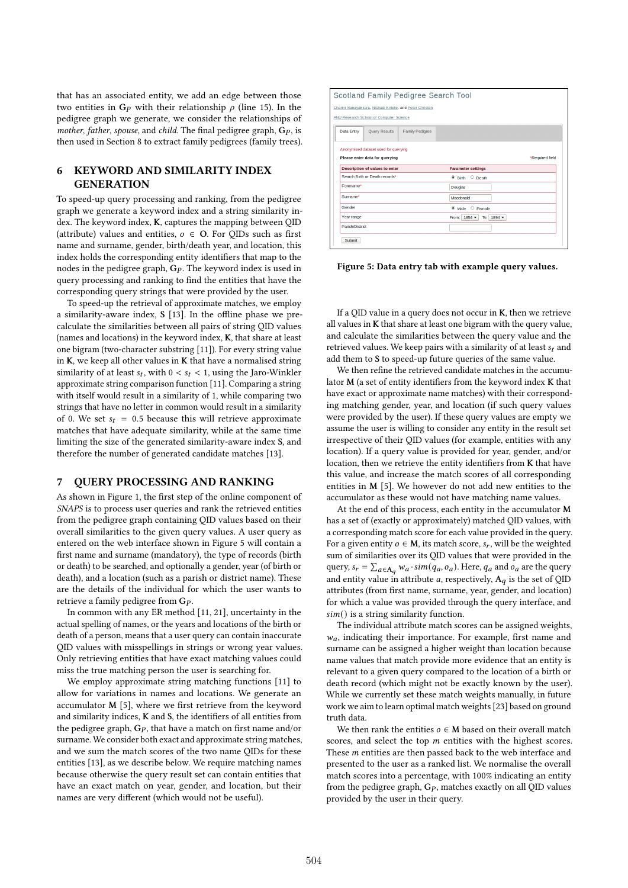that has an associated entity, we add an edge between those two entities in G<sub>P</sub> with their relationship  $\rho$  (line 15). In the pedigree graph we generate, we consider the relationships of mother, father, spouse, and child. The final pedigree graph,  $G_P$ , is then used in Section 8 to extract family pedigrees (family trees).

# 6 KEYWORD AND SIMILARITY INDEX **GENERATION**

To speed-up query processing and ranking, from the pedigree graph we generate a keyword index and a string similarity index. The keyword index, K, captures the mapping between QID (attribute) values and entities,  $o \in O$ . For QIDs such as first name and surname, gender, birth/death year, and location, this index holds the corresponding entity identifiers that map to the nodes in the pedigree graph,  $G_P$ . The keyword index is used in query processing and ranking to find the entities that have the corresponding query strings that were provided by the user.

To speed-up the retrieval of approximate matches, we employ a similarity-aware index, S [13]. In the offline phase we precalculate the similarities between all pairs of string QID values (names and locations) in the keyword index, K, that share at least one bigram (two-character substring [11]). For every string value in  $K$ , we keep all other values in  $K$  that have a normalised string similarity of at least  $s_t$ , with  $0 < s_t < 1$ , using the Jaro-Winkler approximate string comparison function [11]. Comparing a string with itself would result in a similarity of 1, while comparing two strings that have no letter in common would result in a similarity of 0. We set  $s_t = 0.5$  because this will retrieve approximate matches that have adequate similarity, while at the same time limiting the size of the generated similarity-aware index S, and therefore the number of generated candidate matches [13].

### 7 QUERY PROCESSING AND RANKING

As shown in Figure 1, the first step of the online component of SNAPS is to process user queries and rank the retrieved entities from the pedigree graph containing QID values based on their overall similarities to the given query values. A user query as entered on the web interface shown in Figure 5 will contain a first name and surname (mandatory), the type of records (birth or death) to be searched, and optionally a gender, year (of birth or death), and a location (such as a parish or district name). These are the details of the individual for which the user wants to retrieve a family pedigree from  $G_P$ .

In common with any ER method [11, 21], uncertainty in the actual spelling of names, or the years and locations of the birth or death of a person, means that a user query can contain inaccurate QID values with misspellings in strings or wrong year values. Only retrieving entities that have exact matching values could miss the true matching person the user is searching for.

We employ approximate string matching functions [11] to allow for variations in names and locations. We generate an accumulator M [5], where we first retrieve from the keyword and similarity indices, K and S, the identifiers of all entities from the pedigree graph,  $G_p$ , that have a match on first name and/or surname. We consider both exact and approximate string matches, and we sum the match scores of the two name QIDs for these entities [13], as we describe below. We require matching names because otherwise the query result set can contain entities that have an exact match on year, gender, and location, but their names are very different (which would not be useful).

| Scotland Family Pedigree Search Tool                                   |                        |                                   |  |  |  |  |  |  |
|------------------------------------------------------------------------|------------------------|-----------------------------------|--|--|--|--|--|--|
| Charini Nanayakkara, Nishadi Kirielle, and Peter Christen              |                        |                                   |  |  |  |  |  |  |
| ANU Research School of Computer Science                                |                        |                                   |  |  |  |  |  |  |
| <b>Data Entry</b><br><b>Ouery Results</b>                              | <b>Family Pedigree</b> |                                   |  |  |  |  |  |  |
| Anonymised dataset used for querying<br>Please enter data for querying |                        | *Required field                   |  |  |  |  |  |  |
| <b>Description of values to enter</b>                                  |                        | <b>Parameter settings</b>         |  |  |  |  |  |  |
| Search Birth or Death records*                                         |                        | $O$ Death<br>$\bullet$ Birth      |  |  |  |  |  |  |
| Forename*                                                              |                        | <b>Douglas</b>                    |  |  |  |  |  |  |
| Surname*                                                               |                        | Macdonald                         |  |  |  |  |  |  |
| Gender                                                                 |                        | $@$ Male $@$ Female               |  |  |  |  |  |  |
| Year range                                                             |                        | From: 1854 -<br>To: $1894$ $\sim$ |  |  |  |  |  |  |
| <b>Parish/District</b>                                                 |                        |                                   |  |  |  |  |  |  |
| <b>Submit</b>                                                          |                        |                                   |  |  |  |  |  |  |

Figure 5: Data entry tab with example query values.

If a QID value in a query does not occur in  $K$ , then we retrieve all values in  $K$  that share at least one bigram with the query value, and calculate the similarities between the query value and the retrieved values. We keep pairs with a similarity of at least  $s_t$  and add them to S to speed-up future queries of the same value.

We then refine the retrieved candidate matches in the accumulator M (a set of entity identifiers from the keyword index K that have exact or approximate name matches) with their corresponding matching gender, year, and location (if such query values were provided by the user). If these query values are empty we assume the user is willing to consider any entity in the result set irrespective of their QID values (for example, entities with any location). If a query value is provided for year, gender, and/or location, then we retrieve the entity identifiers from K that have this value, and increase the match scores of all corresponding entities in M [5]. We however do not add new entities to the accumulator as these would not have matching name values.

At the end of this process, each entity in the accumulator M has a set of (exactly or approximately) matched QID values, with a corresponding match score for each value provided in the query. For a given entity  $o \in M$ , its match score,  $s_r$ , will be the weighted sum of similarities over its QID values that were provided in the query,  $s_r = \sum_{a \in A_q} w_a \cdot \text{sim}(q_a, o_a)$ . Here,  $q_a$  and  $o_a$  are the query and entity value in attribute a, respectively,  $A_q$  is the set of QID attributes (from first name, surname, year, gender, and location) for which a value was provided through the query interface, and  $sim()$  is a string similarity function.

The individual attribute match scores can be assigned weights,  $w_a$ , indicating their importance. For example, first name and surname can be assigned a higher weight than location because name values that match provide more evidence that an entity is relevant to a given query compared to the location of a birth or death record (which might not be exactly known by the user). While we currently set these match weights manually, in future work we aim to learn optimal match weights [23] based on ground truth data.

We then rank the entities  $o \in M$  based on their overall match scores, and select the top  $m$  entities with the highest scores. These  $m$  entities are then passed back to the web interface and presented to the user as a ranked list. We normalise the overall match scores into a percentage, with 100% indicating an entity from the pedigree graph,  $G_p$ , matches exactly on all QID values provided by the user in their query.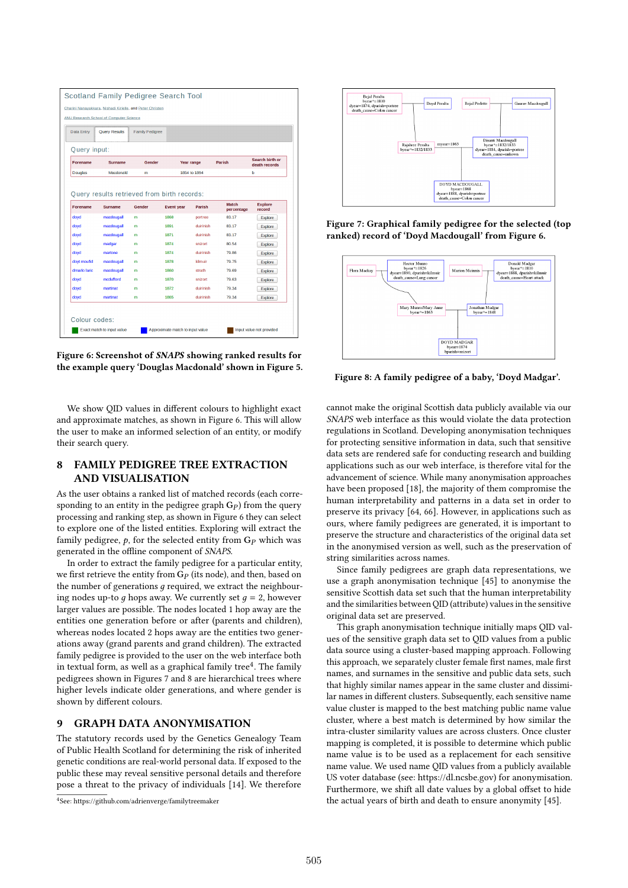|                                                                     | <b>Query Results</b> | <b>Family Pedigree</b> |                           |              |                                         |                          |  |  |  |
|---------------------------------------------------------------------|----------------------|------------------------|---------------------------|--------------|-----------------------------------------|--------------------------|--|--|--|
| Query input:                                                        |                      |                        |                           |              |                                         |                          |  |  |  |
| Parish<br>Gender<br>Year range<br><b>Forename</b><br><b>Surname</b> |                      |                        |                           |              | <b>Search birth or</b><br>death records |                          |  |  |  |
| <b>Douglas</b>                                                      | Macdonald            | m                      |                           | 1854 to 1894 |                                         | b                        |  |  |  |
| doyd                                                                | macdougall           | m                      | 1891                      | duirinish    | 83.17                                   | <b>Explore</b>           |  |  |  |
| doyd                                                                | macdougall           | m                      | <b>Event year</b><br>1868 | portree      | percentage<br>83.17                     | record<br><b>Explore</b> |  |  |  |
|                                                                     |                      |                        |                           |              |                                         |                          |  |  |  |
|                                                                     | macdougall           | m                      | 1871                      | duirinish    | 83.17                                   | <b>Explore</b>           |  |  |  |
| doyd                                                                |                      |                        |                           |              |                                         |                          |  |  |  |
| dovd                                                                | madgar               | m                      | 1874                      | snizort      | 80.54                                   | <b>Explore</b>           |  |  |  |
| doyd                                                                | martone              | m                      | 1874                      | duirinish    | 79.86                                   | <b>Explore</b>           |  |  |  |
| doyt moufid                                                         | macdougall           | m                      | 1878                      | kilmuir      | 79.75                                   | <b>Explore</b>           |  |  |  |
| dmarlo laric                                                        | macdougall           | m                      | 1860                      | strath       | 79.69                                   | <b>Explore</b>           |  |  |  |
| doyd                                                                | medufford            | m                      | 1870                      | snizort      | 79.63                                   | <b>Explore</b>           |  |  |  |
| doyd                                                                | martinat             | m                      | 1872                      | duirinish    | 79.34                                   | <b>Explore</b>           |  |  |  |

Figure 6: Screenshot of SNAPS showing ranked results for the example query 'Douglas Macdonald' shown in Figure 5.

We show QID values in different colours to highlight exact and approximate matches, as shown in Figure 6. This will allow the user to make an informed selection of an entity, or modify their search query.

# 8 FAMILY PEDIGREE TREE EXTRACTION AND VISUALISATION

As the user obtains a ranked list of matched records (each corresponding to an entity in the pedigree graph  $G_P$ ) from the query processing and ranking step, as shown in Figure 6 they can select to explore one of the listed entities. Exploring will extract the family pedigree,  $p$ , for the selected entity from  $G_p$  which was generated in the offline component of SNAPS.

In order to extract the family pedigree for a particular entity, we first retrieve the entity from  $G_P$  (its node), and then, based on the number of generations  $q$  required, we extract the neighbouring nodes up-to q hops away. We currently set  $q = 2$ , however larger values are possible. The nodes located 1 hop away are the entities one generation before or after (parents and children), whereas nodes located 2 hops away are the entities two generations away (grand parents and grand children). The extracted family pedigree is provided to the user on the web interface both in textual form, as well as a graphical family tree $^4$ . The family pedigrees shown in Figures 7 and 8 are hierarchical trees where higher levels indicate older generations, and where gender is shown by different colours.

#### 9 GRAPH DATA ANONYMISATION

The statutory records used by the Genetics Genealogy Team of Public Health Scotland for determining the risk of inherited genetic conditions are real-world personal data. If exposed to the public these may reveal sensitive personal details and therefore pose a threat to the privacy of individuals [14]. We therefore

4 See: https://github.com/adrienverge/familytreemaker



Figure 7: Graphical family pedigree for the selected (top ranked) record of 'Doyd Macdougall' from Figure 6.



Figure 8: A family pedigree of a baby, 'Doyd Madgar'.

cannot make the original Scottish data publicly available via our SNAPS web interface as this would violate the data protection regulations in Scotland. Developing anonymisation techniques for protecting sensitive information in data, such that sensitive data sets are rendered safe for conducting research and building applications such as our web interface, is therefore vital for the advancement of science. While many anonymisation approaches have been proposed [18], the majority of them compromise the human interpretability and patterns in a data set in order to preserve its privacy [64, 66]. However, in applications such as ours, where family pedigrees are generated, it is important to preserve the structure and characteristics of the original data set in the anonymised version as well, such as the preservation of string similarities across names.

Since family pedigrees are graph data representations, we use a graph anonymisation technique [45] to anonymise the sensitive Scottish data set such that the human interpretability and the similarities between QID (attribute) values in the sensitive original data set are preserved.

This graph anonymisation technique initially maps QID values of the sensitive graph data set to QID values from a public data source using a cluster-based mapping approach. Following this approach, we separately cluster female first names, male first names, and surnames in the sensitive and public data sets, such that highly similar names appear in the same cluster and dissimilar names in different clusters. Subsequently, each sensitive name value cluster is mapped to the best matching public name value cluster, where a best match is determined by how similar the intra-cluster similarity values are across clusters. Once cluster mapping is completed, it is possible to determine which public name value is to be used as a replacement for each sensitive name value. We used name QID values from a publicly available US voter database (see: https://dl.ncsbe.gov) for anonymisation. Furthermore, we shift all date values by a global offset to hide the actual years of birth and death to ensure anonymity [45].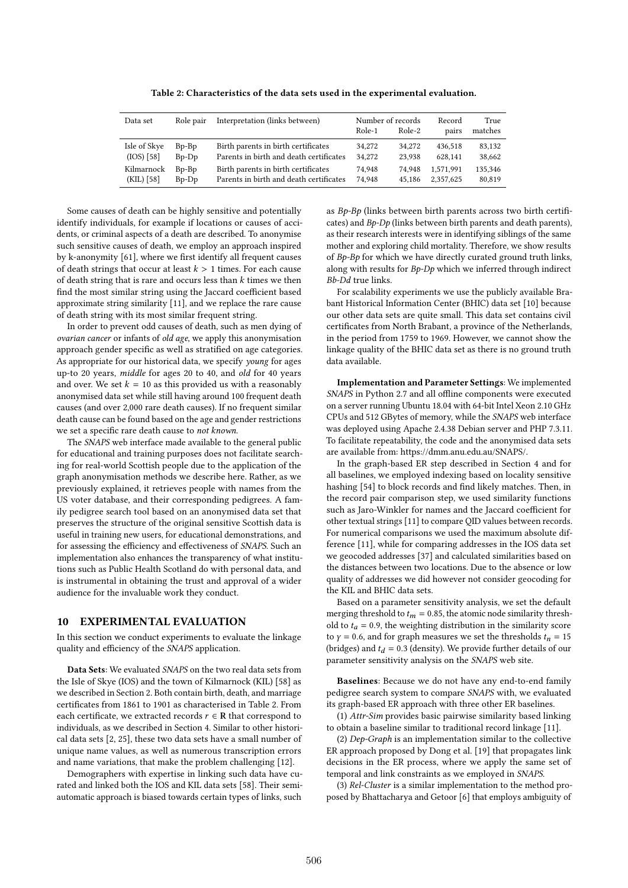Table 2: Characteristics of the data sets used in the experimental evaluation.

| Data set     | Role pair | Interpretation (links between)          | Role-1 | Number of records<br>Role-2 | Record<br>pairs | True<br>matches |
|--------------|-----------|-----------------------------------------|--------|-----------------------------|-----------------|-----------------|
| Isle of Skye | Bp-Bp     | Birth parents in birth certificates     | 34,272 | 34,272                      | 436,518         | 83,132          |
| $(IOS)$ [58] | $Bp-Dp$   | Parents in birth and death certificates | 34,272 | 23,938                      | 628.141         | 38,662          |
| Kilmarnock   | Bp-Bp     | Birth parents in birth certificates     | 74.948 | 74.948                      | 1.571.991       | 135,346         |
| (KIL) [58]   | $Bp-Dp$   | Parents in birth and death certificates | 74.948 | 45.186                      | 2.357.625       | 80,819          |

Some causes of death can be highly sensitive and potentially identify individuals, for example if locations or causes of accidents, or criminal aspects of a death are described. To anonymise such sensitive causes of death, we employ an approach inspired by k-anonymity [61], where we first identify all frequent causes of death strings that occur at least  $k > 1$  times. For each cause of death string that is rare and occurs less than  $k$  times we then find the most similar string using the Jaccard coefficient based approximate string similarity [11], and we replace the rare cause of death string with its most similar frequent string.

In order to prevent odd causes of death, such as men dying of ovarian cancer or infants of old age, we apply this anonymisation approach gender specific as well as stratified on age categories. As appropriate for our historical data, we specify young for ages up-to 20 years, middle for ages 20 to 40, and old for 40 years and over. We set  $k = 10$  as this provided us with a reasonably anonymised data set while still having around 100 frequent death causes (and over 2,000 rare death causes). If no frequent similar death cause can be found based on the age and gender restrictions we set a specific rare death cause to not known.

The SNAPS web interface made available to the general public for educational and training purposes does not facilitate searching for real-world Scottish people due to the application of the graph anonymisation methods we describe here. Rather, as we previously explained, it retrieves people with names from the US voter database, and their corresponding pedigrees. A family pedigree search tool based on an anonymised data set that preserves the structure of the original sensitive Scottish data is useful in training new users, for educational demonstrations, and for assessing the efficiency and effectiveness of SNAPS. Such an implementation also enhances the transparency of what institutions such as Public Health Scotland do with personal data, and is instrumental in obtaining the trust and approval of a wider audience for the invaluable work they conduct.

### 10 EXPERIMENTAL EVALUATION

In this section we conduct experiments to evaluate the linkage quality and efficiency of the SNAPS application.

Data Sets: We evaluated SNAPS on the two real data sets from the Isle of Skye (IOS) and the town of Kilmarnock (KIL) [58] as we described in Section 2. Both contain birth, death, and marriage certificates from 1861 to 1901 as characterised in Table 2. From each certificate, we extracted records  $r \in \mathbb{R}$  that correspond to individuals, as we described in Section 4. Similar to other historical data sets [2, 25], these two data sets have a small number of unique name values, as well as numerous transcription errors and name variations, that make the problem challenging [12].

Demographers with expertise in linking such data have curated and linked both the IOS and KIL data sets [58]. Their semiautomatic approach is biased towards certain types of links, such

as Bp-Bp (links between birth parents across two birth certificates) and Bp-Dp (links between birth parents and death parents), as their research interests were in identifying siblings of the same mother and exploring child mortality. Therefore, we show results of Bp-Bp for which we have directly curated ground truth links, along with results for Bp-Dp which we inferred through indirect Bb-Dd true links.

For scalability experiments we use the publicly available Brabant Historical Information Center (BHIC) data set [10] because our other data sets are quite small. This data set contains civil certificates from North Brabant, a province of the Netherlands, in the period from 1759 to 1969. However, we cannot show the linkage quality of the BHIC data set as there is no ground truth data available.

Implementation and Parameter Settings: We implemented SNAPS in Python 2.7 and all offline components were executed on a server running Ubuntu 18.04 with 64-bit Intel Xeon 2.10 GHz CPUs and 512 GBytes of memory, while the SNAPS web interface was deployed using Apache 2.4.38 Debian server and PHP 7.3.11. To facilitate repeatability, the code and the anonymised data sets are available from: https://dmm.anu.edu.au/SNAPS/.

In the graph-based ER step described in Section 4 and for all baselines, we employed indexing based on locality sensitive hashing [54] to block records and find likely matches. Then, in the record pair comparison step, we used similarity functions such as Jaro-Winkler for names and the Jaccard coefficient for other textual strings [11] to compare QID values between records. For numerical comparisons we used the maximum absolute difference [11], while for comparing addresses in the IOS data set we geocoded addresses [37] and calculated similarities based on the distances between two locations. Due to the absence or low quality of addresses we did however not consider geocoding for the KIL and BHIC data sets.

Based on a parameter sensitivity analysis, we set the default merging threshold to  $t_m = 0.85$ , the atomic node similarity threshold to  $t_a = 0.9$ , the weighting distribution in the similarity score to  $y = 0.6$ , and for graph measures we set the thresholds  $t_n = 15$ (bridges) and  $t_d = 0.3$  (density). We provide further details of our parameter sensitivity analysis on the SNAPS web site.

Baselines: Because we do not have any end-to-end family pedigree search system to compare SNAPS with, we evaluated its graph-based ER approach with three other ER baselines.

(1) Attr-Sim provides basic pairwise similarity based linking to obtain a baseline similar to traditional record linkage [11].

(2) Dep-Graph is an implementation similar to the collective ER approach proposed by Dong et al. [19] that propagates link decisions in the ER process, where we apply the same set of temporal and link constraints as we employed in SNAPS.

(3) Rel-Cluster is a similar implementation to the method proposed by Bhattacharya and Getoor [6] that employs ambiguity of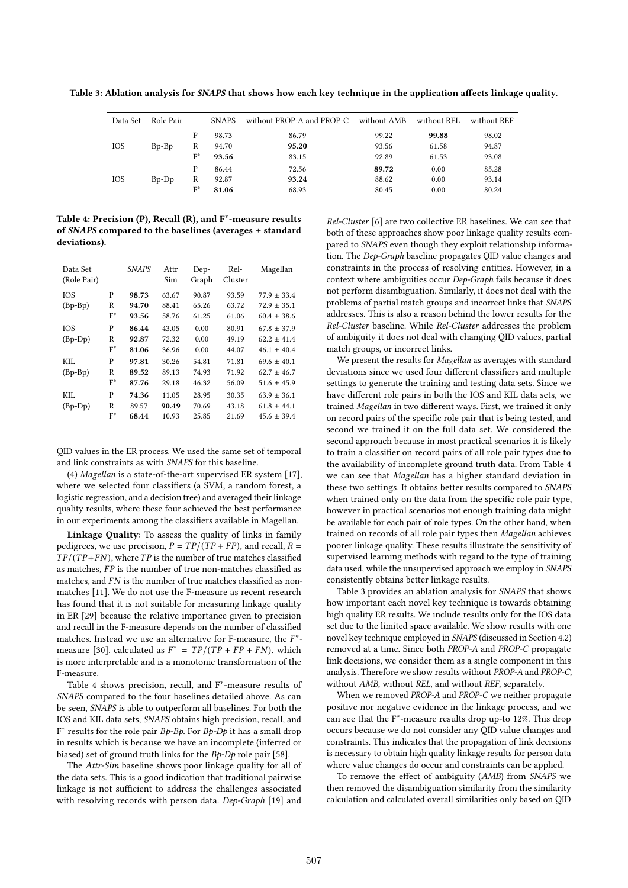| Data Set   | Role Pair |                | <b>SNAPS</b> | without PROP-A and PROP-C | without AMB | without REL | without REF |
|------------|-----------|----------------|--------------|---------------------------|-------------|-------------|-------------|
|            |           | P              | 98.73        | 86.79                     | 99.22       | 99.88       | 98.02       |
| <b>IOS</b> | Bp-Bp     | R              | 94.70        | 95.20                     | 93.56       | 61.58       | 94.87       |
|            |           | $\mathrm{F}^*$ | 93.56        | 83.15                     | 92.89       | 61.53       | 93.08       |
|            |           | P              | 86.44        | 72.56                     | 89.72       | 0.00        | 85.28       |
| IOS        | $Bp-Dp$   | R              | 92.87        | 93.24                     | 88.62       | 0.00        | 93.14       |
|            |           | $F^*$          | 81.06        | 68.93                     | 80.45       | 0.00        | 80.24       |

Table 3: Ablation analysis for SNAPS that shows how each key technique in the application affects linkage quality.

Table 4: Precision (P), Recall (R), and F<sup>\*</sup>-measure results of SNAPS compared to the baselines (averages  $\pm$  standard deviations).

| Data Set<br>(Role Pair) |                | <b>SNAPS</b> | Attr<br>Sim | Dep-<br>Graph | Rel-<br>Cluster | Magellan        |
|-------------------------|----------------|--------------|-------------|---------------|-----------------|-----------------|
| <b>TOS</b>              | P              | 98.73        | 63.67       | 90.87         | 93.59           | $77.9 \pm 33.4$ |
| $(Bp-Bp)$               | R              | 94.70        | 88.41       | 65.26         | 63.72           | $72.9 \pm 35.1$ |
|                         | $F^*$          | 93.56        | 58.76       | 61.25         | 61.06           | $60.4 \pm 38.6$ |
| <b>TOS</b>              | P              | 86.44        | 43.05       | 0.00          | 80.91           | $67.8 \pm 37.9$ |
| $(Bp-Dp)$               | R              | 92.87        | 72.32       | 0.00          | 49.19           | $62.2 \pm 41.4$ |
|                         | $F^*$          | 81.06        | 36.96       | 0.00          | 44.07           | $46.1 \pm 40.4$ |
| KIL.                    | P              | 97.81        | 30.26       | 54.81         | 71.81           | $69.6 \pm 40.1$ |
| $(Bp-Bp)$               | R              | 89.52        | 89.13       | 74.93         | 71.92           | $62.7 + 46.7$   |
|                         | $\mathrm{F}^*$ | 87.76        | 29.18       | 46.32         | 56.09           | $51.6 \pm 45.9$ |
| KIL.                    | P              | 74.36        | 11.05       | 28.95         | 30.35           | $63.9 \pm 36.1$ |
| $(Bp-Dp)$               | R              | 89.57        | 90.49       | 70.69         | 43.18           | $61.8 \pm 44.1$ |
|                         | $F^*$          | 68.44        | 10.93       | 25.85         | 21.69           | $45.6 \pm 39.4$ |

QID values in the ER process. We used the same set of temporal and link constraints as with SNAPS for this baseline.

(4) Magellan is a state-of-the-art supervised ER system [17], where we selected four classifiers (a SVM, a random forest, a logistic regression, and a decision tree) and averaged their linkage quality results, where these four achieved the best performance in our experiments among the classifiers available in Magellan.

Linkage Quality: To assess the quality of links in family pedigrees, we use precision,  $P = TP/(TP + FP)$ , and recall,  $R =$  $TP/(TP+FN)$ , where  $TP$  is the number of true matches classified as matches,  $FP$  is the number of true non-matches classified as matches, and  $FN$  is the number of true matches classified as nonmatches [11]. We do not use the F-measure as recent research has found that it is not suitable for measuring linkage quality in ER [29] because the relative importance given to precision and recall in the F-measure depends on the number of classified matches. Instead we use an alternative for F-measure, the  $F^*$ measure [30], calculated as  $F^* = TP/(TP + FP + FN)$ , which is more interpretable and is a monotonic transformation of the F-measure.

Table 4 shows precision, recall, and F<sup>∗</sup> -measure results of SNAPS compared to the four baselines detailed above. As can be seen, SNAPS is able to outperform all baselines. For both the IOS and KIL data sets, SNAPS obtains high precision, recall, and  $F^*$  results for the role pair  $Bp$ -Bp. For  $Bp$ -Dp it has a small drop in results which is because we have an incomplete (inferred or biased) set of ground truth links for the Bp-Dp role pair [58].

The Attr-Sim baseline shows poor linkage quality for all of the data sets. This is a good indication that traditional pairwise linkage is not sufficient to address the challenges associated with resolving records with person data. Dep-Graph [19] and

Rel-Cluster [6] are two collective ER baselines. We can see that both of these approaches show poor linkage quality results compared to SNAPS even though they exploit relationship information. The Dep-Graph baseline propagates QID value changes and constraints in the process of resolving entities. However, in a context where ambiguities occur Dep-Graph fails because it does not perform disambiguation. Similarly, it does not deal with the problems of partial match groups and incorrect links that SNAPS addresses. This is also a reason behind the lower results for the Rel-Cluster baseline. While Rel-Cluster addresses the problem of ambiguity it does not deal with changing QID values, partial match groups, or incorrect links.

We present the results for Magellan as averages with standard deviations since we used four different classifiers and multiple settings to generate the training and testing data sets. Since we have different role pairs in both the IOS and KIL data sets, we trained Magellan in two different ways. First, we trained it only on record pairs of the specific role pair that is being tested, and second we trained it on the full data set. We considered the second approach because in most practical scenarios it is likely to train a classifier on record pairs of all role pair types due to the availability of incomplete ground truth data. From Table 4 we can see that Magellan has a higher standard deviation in these two settings. It obtains better results compared to SNAPS when trained only on the data from the specific role pair type, however in practical scenarios not enough training data might be available for each pair of role types. On the other hand, when trained on records of all role pair types then Magellan achieves poorer linkage quality. These results illustrate the sensitivity of supervised learning methods with regard to the type of training data used, while the unsupervised approach we employ in SNAPS consistently obtains better linkage results.

Table 3 provides an ablation analysis for SNAPS that shows how important each novel key technique is towards obtaining high quality ER results. We include results only for the IOS data set due to the limited space available. We show results with one novel key technique employed in SNAPS (discussed in Section 4.2) removed at a time. Since both PROP-A and PROP-C propagate link decisions, we consider them as a single component in this analysis. Therefore we show results without PROP-A and PROP-C, without AMB, without REL, and without REF, separately.

When we removed PROP-A and PROP-C we neither propagate positive nor negative evidence in the linkage process, and we can see that the F<sup>∗</sup> -measure results drop up-to 12%. This drop occurs because we do not consider any QID value changes and constraints. This indicates that the propagation of link decisions is necessary to obtain high quality linkage results for person data where value changes do occur and constraints can be applied.

To remove the effect of ambiguity (AMB) from SNAPS we then removed the disambiguation similarity from the similarity calculation and calculated overall similarities only based on QID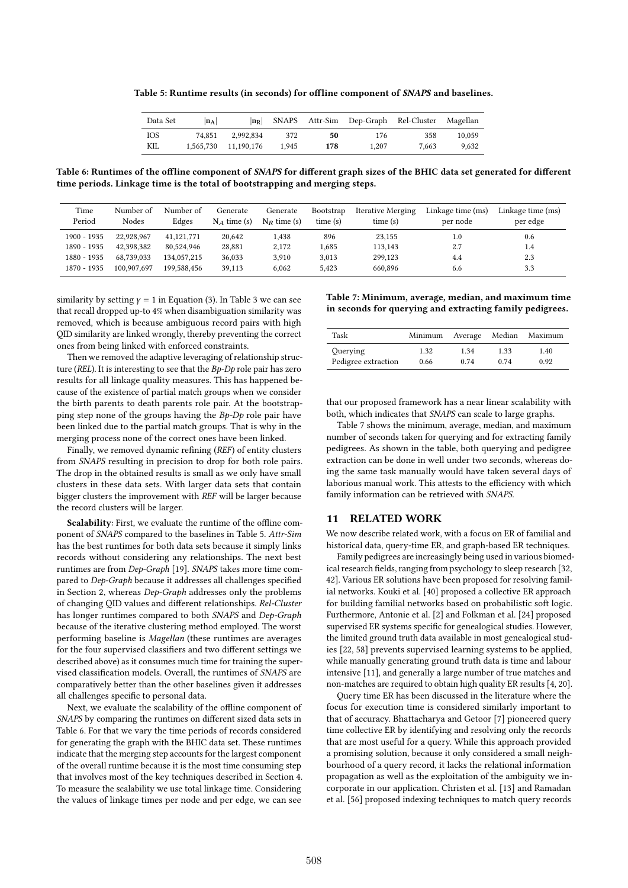Table 5: Runtime results (in seconds) for offline component of SNAPS and baselines.

| Data Set   | $ n_A $   | $ n_R $    |       |     |       | SNAPS Attr-Sim Dep-Graph Rel-Cluster Magellan |        |
|------------|-----------|------------|-------|-----|-------|-----------------------------------------------|--------|
| <b>IOS</b> | 74.851    | 2.992.834  | 372   | 50  | 176   | 358                                           | 10.059 |
| КIL        | 1.565.730 | 11.190.176 | 1.945 | 178 | 1.207 | 7.663                                         | 9.632  |

Table 6: Runtimes of the offline component of SNAPS for different graph sizes of the BHIC data set generated for different time periods. Linkage time is the total of bootstrapping and merging steps.

| Time<br>Period | Number of<br>Nodes | Number of<br>Edges | Generate<br>$N_A$ time (s) | Generate<br>$N_R$ time (s) | Bootstrap<br>time(s) | <b>Iterative Merging</b><br>time(s) | Linkage time (ms)<br>per node | Linkage time (ms)<br>per edge |
|----------------|--------------------|--------------------|----------------------------|----------------------------|----------------------|-------------------------------------|-------------------------------|-------------------------------|
| 1900 - 1935    | 22.928.967         | 41, 121, 771       | 20.642                     | 1,438                      | 896                  | 23,155                              | 1.0                           | 0.6                           |
| 1890 - 1935    | 42.398.382         | 80.524.946         | 28,881                     | 2.172                      | 1.685                | 113,143                             | 2.7                           | 1.4                           |
| 1880 - 1935    | 68.739.033         | 134,057,215        | 36,033                     | 3.910                      | 3.013                | 299.123                             | 4.4                           | 2.3                           |
| 1870 - 1935    | 100.907.697        | 199.588.456        | 39.113                     | 6.062                      | 5.423                | 660.896                             | 6.6                           | 3.3                           |

similarity by setting  $\gamma = 1$  in Equation (3). In Table 3 we can see that recall dropped up-to 4% when disambiguation similarity was removed, which is because ambiguous record pairs with high QID similarity are linked wrongly, thereby preventing the correct ones from being linked with enforced constraints.

Then we removed the adaptive leveraging of relationship structure (REL). It is interesting to see that the Bp-Dp role pair has zero results for all linkage quality measures. This has happened because of the existence of partial match groups when we consider the birth parents to death parents role pair. At the bootstrapping step none of the groups having the Bp-Dp role pair have been linked due to the partial match groups. That is why in the merging process none of the correct ones have been linked.

Finally, we removed dynamic refining (REF) of entity clusters from SNAPS resulting in precision to drop for both role pairs. The drop in the obtained results is small as we only have small clusters in these data sets. With larger data sets that contain bigger clusters the improvement with REF will be larger because the record clusters will be larger.

Scalability: First, we evaluate the runtime of the offline component of SNAPS compared to the baselines in Table 5. Attr-Sim has the best runtimes for both data sets because it simply links records without considering any relationships. The next best runtimes are from Dep-Graph [19]. SNAPS takes more time compared to Dep-Graph because it addresses all challenges specified in Section 2, whereas Dep-Graph addresses only the problems of changing QID values and different relationships. Rel-Cluster has longer runtimes compared to both SNAPS and Dep-Graph because of the iterative clustering method employed. The worst performing baseline is Magellan (these runtimes are averages for the four supervised classifiers and two different settings we described above) as it consumes much time for training the supervised classification models. Overall, the runtimes of SNAPS are comparatively better than the other baselines given it addresses all challenges specific to personal data.

Next, we evaluate the scalability of the offline component of SNAPS by comparing the runtimes on different sized data sets in Table 6. For that we vary the time periods of records considered for generating the graph with the BHIC data set. These runtimes indicate that the merging step accounts for the largest component of the overall runtime because it is the most time consuming step that involves most of the key techniques described in Section 4. To measure the scalability we use total linkage time. Considering the values of linkage times per node and per edge, we can see

Table 7: Minimum, average, median, and maximum time in seconds for querying and extracting family pedigrees.

| Task                | Minimum | Average Median |      | Maximum |
|---------------------|---------|----------------|------|---------|
| Querying            | 1.32    | 1.34           | 1.33 | 1.40    |
| Pedigree extraction | 0.66    | 0.74           | 0.74 | 0.92    |

that our proposed framework has a near linear scalability with both, which indicates that SNAPS can scale to large graphs.

Table 7 shows the minimum, average, median, and maximum number of seconds taken for querying and for extracting family pedigrees. As shown in the table, both querying and pedigree extraction can be done in well under two seconds, whereas doing the same task manually would have taken several days of laborious manual work. This attests to the efficiency with which family information can be retrieved with SNAPS.

# 11 RELATED WORK

We now describe related work, with a focus on ER of familial and historical data, query-time ER, and graph-based ER techniques.

Family pedigrees are increasingly being used in various biomedical research fields, ranging from psychology to sleep research [32, 42]. Various ER solutions have been proposed for resolving familial networks. Kouki et al. [40] proposed a collective ER approach for building familial networks based on probabilistic soft logic. Furthermore, Antonie et al. [2] and Folkman et al. [24] proposed supervised ER systems specific for genealogical studies. However, the limited ground truth data available in most genealogical studies [22, 58] prevents supervised learning systems to be applied, while manually generating ground truth data is time and labour intensive [11], and generally a large number of true matches and non-matches are required to obtain high quality ER results [4, 20].

Query time ER has been discussed in the literature where the focus for execution time is considered similarly important to that of accuracy. Bhattacharya and Getoor [7] pioneered query time collective ER by identifying and resolving only the records that are most useful for a query. While this approach provided a promising solution, because it only considered a small neighbourhood of a query record, it lacks the relational information propagation as well as the exploitation of the ambiguity we incorporate in our application. Christen et al. [13] and Ramadan et al. [56] proposed indexing techniques to match query records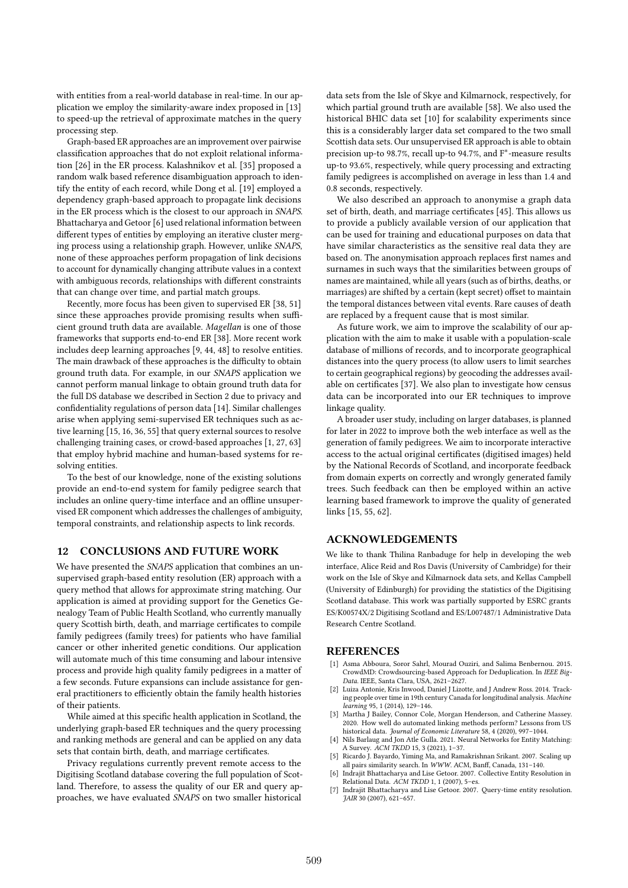with entities from a real-world database in real-time. In our application we employ the similarity-aware index proposed in [13] to speed-up the retrieval of approximate matches in the query processing step.

Graph-based ER approaches are an improvement over pairwise classification approaches that do not exploit relational information [26] in the ER process. Kalashnikov et al. [35] proposed a random walk based reference disambiguation approach to identify the entity of each record, while Dong et al. [19] employed a dependency graph-based approach to propagate link decisions in the ER process which is the closest to our approach in SNAPS. Bhattacharya and Getoor [6] used relational information between different types of entities by employing an iterative cluster merging process using a relationship graph. However, unlike SNAPS, none of these approaches perform propagation of link decisions to account for dynamically changing attribute values in a context with ambiguous records, relationships with different constraints that can change over time, and partial match groups.

Recently, more focus has been given to supervised ER [38, 51] since these approaches provide promising results when sufficient ground truth data are available. Magellan is one of those frameworks that supports end-to-end ER [38]. More recent work includes deep learning approaches [9, 44, 48] to resolve entities. The main drawback of these approaches is the difficulty to obtain ground truth data. For example, in our SNAPS application we cannot perform manual linkage to obtain ground truth data for the full DS database we described in Section 2 due to privacy and confidentiality regulations of person data [14]. Similar challenges arise when applying semi-supervised ER techniques such as active learning [15, 16, 36, 55] that query external sources to resolve challenging training cases, or crowd-based approaches [1, 27, 63] that employ hybrid machine and human-based systems for resolving entities.

To the best of our knowledge, none of the existing solutions provide an end-to-end system for family pedigree search that includes an online query-time interface and an offline unsupervised ER component which addresses the challenges of ambiguity, temporal constraints, and relationship aspects to link records.

## 12 CONCLUSIONS AND FUTURE WORK

We have presented the SNAPS application that combines an unsupervised graph-based entity resolution (ER) approach with a query method that allows for approximate string matching. Our application is aimed at providing support for the Genetics Genealogy Team of Public Health Scotland, who currently manually query Scottish birth, death, and marriage certificates to compile family pedigrees (family trees) for patients who have familial cancer or other inherited genetic conditions. Our application will automate much of this time consuming and labour intensive process and provide high quality family pedigrees in a matter of a few seconds. Future expansions can include assistance for general practitioners to efficiently obtain the family health histories of their patients.

While aimed at this specific health application in Scotland, the underlying graph-based ER techniques and the query processing and ranking methods are general and can be applied on any data sets that contain birth, death, and marriage certificates.

Privacy regulations currently prevent remote access to the Digitising Scotland database covering the full population of Scotland. Therefore, to assess the quality of our ER and query approaches, we have evaluated SNAPS on two smaller historical

data sets from the Isle of Skye and Kilmarnock, respectively, for which partial ground truth are available [58]. We also used the historical BHIC data set [10] for scalability experiments since this is a considerably larger data set compared to the two small Scottish data sets. Our unsupervised ER approach is able to obtain precision up-to 98.7%, recall up-to 94.7%, and F<sup>\*</sup>-measure results up-to 93.6%, respectively, while query processing and extracting family pedigrees is accomplished on average in less than 1.4 and 0.8 seconds, respectively.

We also described an approach to anonymise a graph data set of birth, death, and marriage certificates [45]. This allows us to provide a publicly available version of our application that can be used for training and educational purposes on data that have similar characteristics as the sensitive real data they are based on. The anonymisation approach replaces first names and surnames in such ways that the similarities between groups of names are maintained, while all years (such as of births, deaths, or marriages) are shifted by a certain (kept secret) offset to maintain the temporal distances between vital events. Rare causes of death are replaced by a frequent cause that is most similar.

As future work, we aim to improve the scalability of our application with the aim to make it usable with a population-scale database of millions of records, and to incorporate geographical distances into the query process (to allow users to limit searches to certain geographical regions) by geocoding the addresses available on certificates [37]. We also plan to investigate how census data can be incorporated into our ER techniques to improve linkage quality.

A broader user study, including on larger databases, is planned for later in 2022 to improve both the web interface as well as the generation of family pedigrees. We aim to incorporate interactive access to the actual original certificates (digitised images) held by the National Records of Scotland, and incorporate feedback from domain experts on correctly and wrongly generated family trees. Such feedback can then be employed within an active learning based framework to improve the quality of generated links [15, 55, 62].

#### ACKNOWLEDGEMENTS

We like to thank Thilina Ranbaduge for help in developing the web interface, Alice Reid and Ros Davis (University of Cambridge) for their work on the Isle of Skye and Kilmarnock data sets, and Kellas Campbell (University of Edinburgh) for providing the statistics of the Digitising Scotland database. This work was partially supported by ESRC grants ES/K00574X/2 Digitising Scotland and ES/L007487/1 Administrative Data Research Centre Scotland.

#### **REFERENCES**

- [1] Asma Abboura, Soror Sahrl, Mourad Ouziri, and Salima Benbernou. 2015. CrowdMD: Crowdsourcing-based Approach for Deduplication. In IEEE Big-Data. IEEE, Santa Clara, USA, 2621–2627.
- [2] Luiza Antonie, Kris Inwood, Daniel J Lizotte, and J Andrew Ross. 2014. Tracking people over time in 19th century Canada for longitudinal analysis. Machine learning 95, 1 (2014), 129–146.
- [3] Martha J Bailey, Connor Cole, Morgan Henderson, and Catherine Massey. 2020. How well do automated linking methods perform? Lessons from US historical data. Journal of Economic Literature 58, 4 (2020), 997–1044.
- Nils Barlaug and Jon Atle Gulla. 2021. Neural Networks for Entity Matching: A Survey. ACM TKDD 15, 3 (2021), 1–37.
- [5] Ricardo J. Bayardo, Yiming Ma, and Ramakrishnan Srikant. 2007. Scaling up all pairs similarity search. In WWW. ACM, Banff, Canada, 131–140.
- [6] Indrajit Bhattacharya and Lise Getoor. 2007. Collective Entity Resolution in Relational Data. ACM TKDD 1, 1 (2007), 5–es.
- Indrajit Bhattacharya and Lise Getoor. 2007. Query-time entity resolution. JAIR 30 (2007), 621–657.